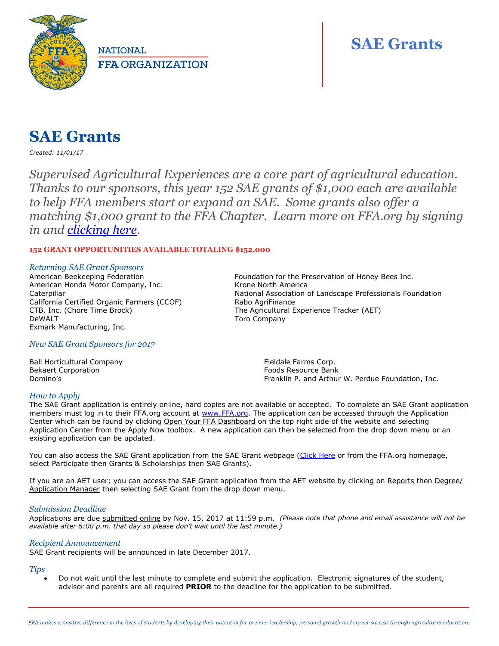

**NATIONAL FFA ORGANIZATION** 

# **SAE Grants**

# **SAE Grants**

*Created: 11/01/17*

*Supervised Agricultural Experiences are a core part of agricultural education. Thanks to our sponsors, this year 152 SAE grants of \$1,000 each are available to help FFA members start or expand an SAE. Some grants also offer a matching \$1,000 grant to the FFA Chapter. Learn more on FFA.org by signing in and [clicking here.](https://www.ffa.org/participate/grants-and-scholarships/sae-grants)* 

## **152 GRANT OPPORTUNITIES AVAILABLE TOTALING \$152,000**

#### *Returning SAE Grant Sponsors*

American Beekeeping Federation American Honda Motor Company, Inc. **Caterpillar** California Certified Organic Farmers (CCOF) CTB, Inc. (Chore Time Brock) DeWALT Exmark Manufacturing, Inc.

### *New SAE Grant Sponsors for 2017*

Ball Horticultural Company Bekaert Corporation Domino's

Foundation for the Preservation of Honey Bees Inc. Krone North America National Association of Landscape Professionals Foundation Rabo AgriFinance The Agricultural Experience Tracker (AET) Toro Company

> Fieldale Farms Corp. Foods Resource Bank Franklin P. and Arthur W. Perdue Foundation, Inc.

#### *How to Apply*

The SAE Grant application is entirely online, hard copies are not available or accepted. To complete an SAE Grant application members must log in to their FFA.org account at [www.FFA.org.](http://www.ffa.org/) The application can be accessed through the Application Center which can be found by clicking Open Your FFA Dashboard on the top right side of the website and selecting Application Center from the Apply Now toolbox. A new application can then be selected from the drop down menu or an existing application can be updated.

You can also access the SAE Grant application from the SAE Grant webpage [\(Click Here](https://www.ffa.org/participate/grants-and-scholarships/sae-grants) or from the FFA.org homepage, select Participate then Grants & Scholarships then SAE Grants).

If you are an AET user; you can access the SAE Grant application from the AET website by clicking on Reports then Degree/ Application Manager then selecting SAE Grant from the drop down menu.

#### *Submission Deadline*

Applications are due submitted online by Nov. 15, 2017 at 11:59 p.m. *(Please note that phone and email assistance will not be available after 6:00 p.m. that day so please don't wait until the last minute.)*

#### *Recipient Announcement*

SAE Grant recipients will be announced in late December 2017.

#### *Tips*

 Do not wait until the last minute to complete and submit the application. Electronic signatures of the student, advisor and parents are all required **PRIOR** to the deadline for the application to be submitted.